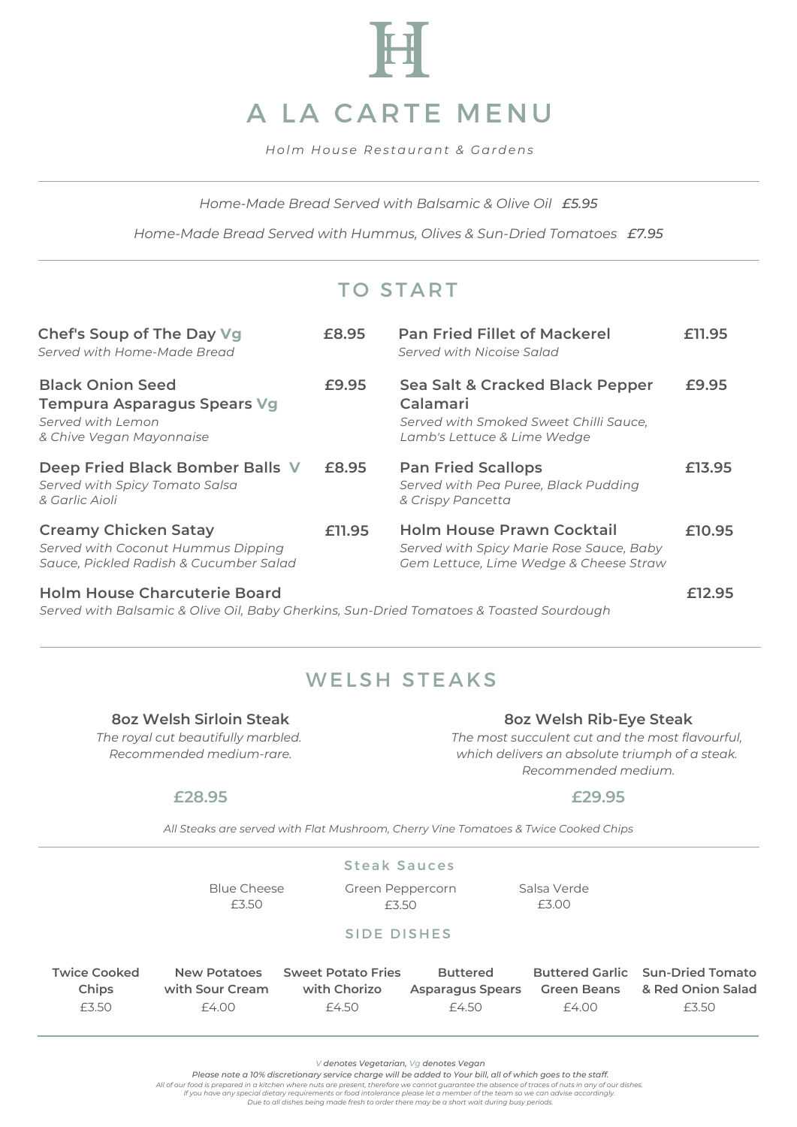

*H olm H ouse R es taurant & Gardens*

*Home-Made Bread Served with Balsamic & Olive Oil £5.95*

*Home-Made Bread Served with Hummus, Olives & Sun-Dried Tomatoes £7.95*

## TO START

| Chef's Soup of The Day Vg<br>Served with Home-Made Bread                                                    | £8.95  | <b>Pan Fried Fillet of Mackerel</b><br>Served with Nicoise Salad                                                       | £11.95 |
|-------------------------------------------------------------------------------------------------------------|--------|------------------------------------------------------------------------------------------------------------------------|--------|
| <b>Black Onion Seed</b><br>Tempura Asparagus Spears Vg<br>Served with Lemon<br>& Chive Vegan Mayonnaise     | £9.95  | Sea Salt & Cracked Black Pepper<br>Calamari<br>Served with Smoked Sweet Chilli Sauce,<br>Lamb's Lettuce & Lime Wedge   | £9.95  |
| Deep Fried Black Bomber Balls V<br>Served with Spicy Tomato Salsa<br>& Garlic Aioli                         | £8.95  | <b>Pan Fried Scallops</b><br>Served with Pea Puree, Black Pudding<br>& Crispy Pancetta                                 | £13.95 |
| <b>Creamy Chicken Satay</b><br>Served with Coconut Hummus Dipping<br>Sauce, Pickled Radish & Cucumber Salad | £11.95 | <b>Holm House Prawn Cocktail</b><br>Served with Spicy Marie Rose Sauce, Baby<br>Gem Lettuce, Lime Wedge & Cheese Straw | £10.95 |
| <b>Holm House Charcuterie Board</b>                                                                         |        |                                                                                                                        | 12.95  |

*Served with Balsamic & Olive Oil, Baby Gherkins, Sun-Dried Tomatoes & Toasted Sourdough*

### WELSH STEAKS

#### **8oz Welsh Sirloin Steak**

*The royal cut beautifully marbled. Recommended medium-rare.*

#### **8oz Welsh Rib-Eye Steak**

*The most succulent cut and the most flavourful, which delivers an absolute triumph of a steak. Recommended medium.*

#### **£28.95**

#### **£29.95**

*All Steaks are served with Flat Mushroom, Cherry Vine Tomatoes & Twice Cooked Chips*

|                                       | Blue Cheese<br>£3.50                            | <b>Steak Sauces</b><br>Green Peppercorn<br>£3.50   |                                                     | Salsa Verde<br>£3.00        |                                                                       |  |  |
|---------------------------------------|-------------------------------------------------|----------------------------------------------------|-----------------------------------------------------|-----------------------------|-----------------------------------------------------------------------|--|--|
| <b>SIDE DISHES</b>                    |                                                 |                                                    |                                                     |                             |                                                                       |  |  |
| <b>Twice Cooked</b><br>Chips<br>£3.50 | <b>New Potatoes</b><br>with Sour Cream<br>£4.00 | <b>Sweet Potato Fries</b><br>with Chorizo<br>£4.50 | <b>Buttered</b><br><b>Asparagus Spears</b><br>£4.50 | <b>Green Beans</b><br>£4.00 | <b>Buttered Garlic Sun-Dried Tomato</b><br>& Red Onion Salad<br>£3.50 |  |  |

*V denotes Vegetarian, Vg denotes Vegan*

Please note a 10% discretionary service charge will be added to Your bill, all of which goes to the staff.

All of our food is prepared in a kitchen where nuts are present, therefore we cannot guarantee the absence of traces of nuts in any of our dishes.<br>If you have any special dietary requirements or food intolerance please let

*Due to all dishes being made fresh to order there may be a short wait during busy periods.*